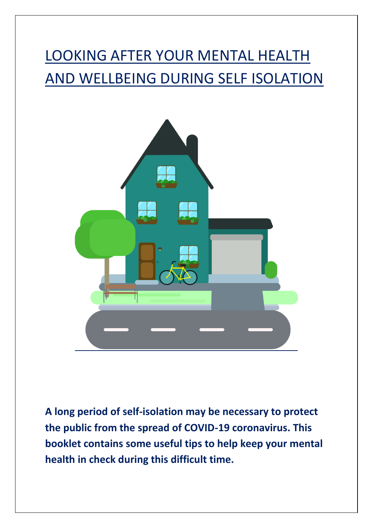# LOOKING AFTER YOUR MENTAL HEALTH AND WELLBEING DURING SELF ISOLATION



**A long period of self-isolation may be necessary to protect the public from the spread of COVID-19 coronavirus. This booklet contains some useful tips to help keep your mental health in check during this difficult time.**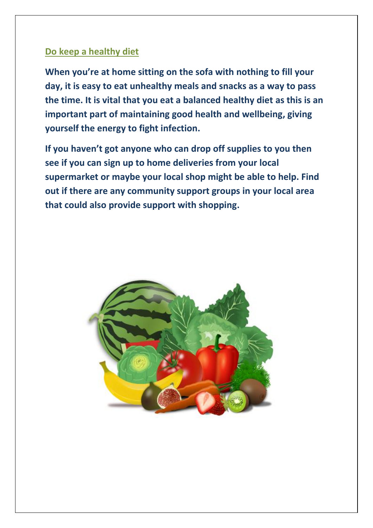### **Do keep a healthy diet**

**When you're at home sitting on the sofa with nothing to fill your day, it is easy to eat unhealthy meals and snacks as a way to pass the time. It is vital that you eat a balanced healthy diet as this is an important part of maintaining good health and wellbeing, giving yourself the energy to fight infection.** 

**If you haven't got anyone who can drop off supplies to you then see if you can sign up to home deliveries from your local supermarket or maybe your local shop might be able to help. Find out if there are any community support groups in your local area that could also provide support with shopping.**

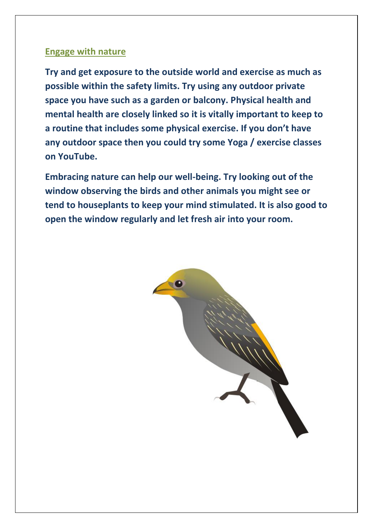#### **Engage with nature**

**Try and get exposure to the outside world and exercise as much as possible within the safety limits. Try using any outdoor private space you have such as a garden or balcony. Physical health and mental health are closely linked so it is vitally important to keep to a routine that includes some physical exercise. If you don't have any outdoor space then you could try some Yoga / exercise classes on YouTube.**

**Embracing nature can help our well-being. Try looking out of the window observing the birds and other animals you might see or tend to houseplants to keep your mind stimulated. It is also good to open the window regularly and let fresh air into your room.**

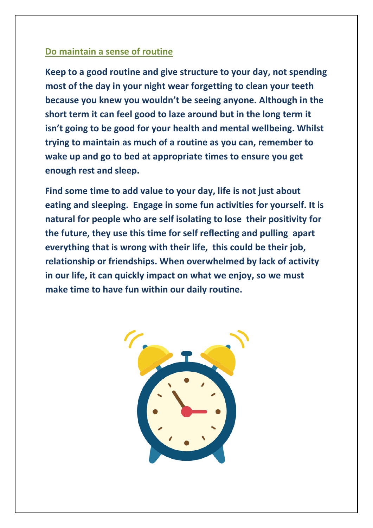## **Do maintain a sense of routine**

**Keep to a good routine and give structure to your day, not spending most of the day in your night wear forgetting to clean your teeth because you knew you wouldn't be seeing anyone. Although in the short term it can feel good to laze around but in the long term it isn't going to be good for your health and mental wellbeing. Whilst trying to maintain as much of a routine as you can, remember to wake up and go to bed at appropriate times to ensure you get enough rest and sleep.**

**Find some time to add value to your day, life is not just about eating and sleeping. Engage in some fun activities for yourself. It is natural for people who are self isolating to lose their positivity for the future, they use this time for self reflecting and pulling apart everything that is wrong with their life, this could be their job, relationship or friendships. When overwhelmed by lack of activity in our life, it can quickly impact on what we enjoy, so we must make time to have fun within our daily routine.**

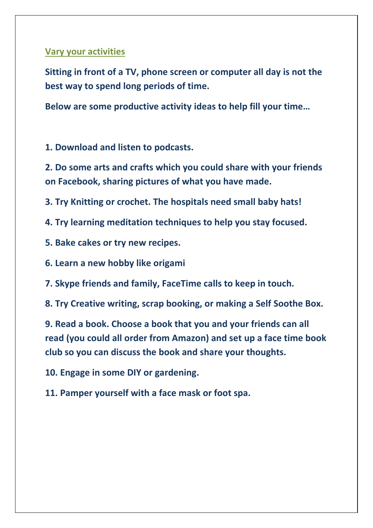### **Vary your activities**

**Sitting in front of a TV, phone screen or computer all day is not the best way to spend long periods of time.** 

**Below are some productive activity ideas to help fill your time…**

**1. Download and listen to podcasts.**

**2. Do some arts and crafts which you could share with your friends on Facebook, sharing pictures of what you have made.** 

**3. Try Knitting or crochet. The hospitals need small baby hats!**

**4. Try learning meditation techniques to help you stay focused.**

- **5. Bake cakes or try new recipes.**
- **6. Learn a new hobby like origami**
- **7. Skype friends and family, FaceTime calls to keep in touch.**
- **8. Try Creative writing, scrap booking, or making a Self Soothe Box.**

**9. Read a book. Choose a book that you and your friends can all read (you could all order from Amazon) and set up a face time book club so you can discuss the book and share your thoughts.**

**10. Engage in some DIY or gardening.**

**11. Pamper yourself with a face mask or foot spa.**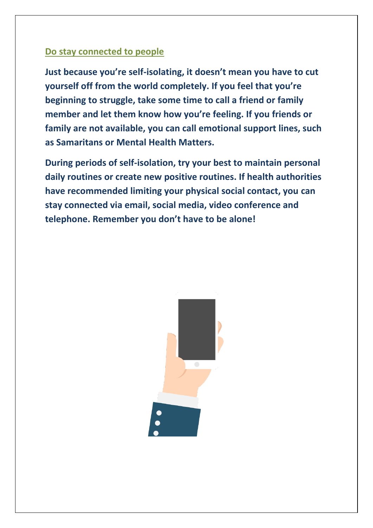### **Do stay connected to people**

**Just because you're self-isolating, it doesn't mean you have to cut yourself off from the world completely. If you feel that you're beginning to struggle, take some time to call a friend or family member and let them know how you're feeling. If you friends or family are not available, you can call emotional support lines, such as Samaritans or Mental Health Matters.** 

**During periods of self-isolation, try your best to maintain personal daily routines or create new positive routines. If health authorities have recommended limiting your physical social contact, you can stay connected via email, social media, video conference and telephone. Remember you don't have to be alone!**

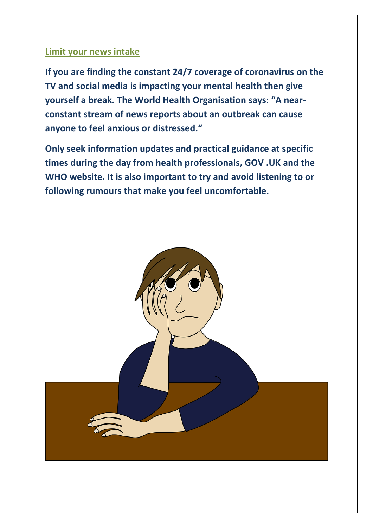#### **Limit your news intake**

**If you are finding the constant 24/7 coverage of coronavirus on the TV and social media is impacting your mental health then give yourself a break. The World Health Organisation says: "A nearconstant stream of news reports about an outbreak can cause anyone to feel anxious or distressed."**

**Only seek information updates and practical guidance at specific times during the day from health professionals, GOV .UK and the WHO website. It is also important to try and avoid listening to or following rumours that make you feel uncomfortable.**

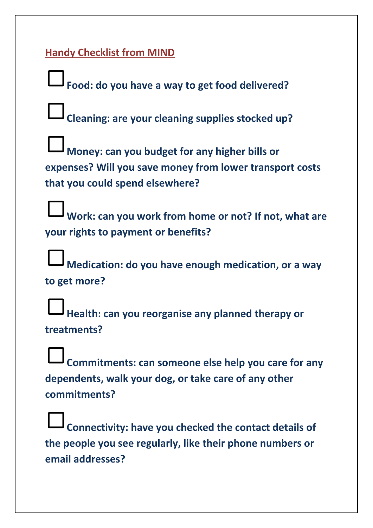# **Handy Checklist from MIND**

**Food: do you have a way to get food delivered? Cleaning: are your cleaning supplies stocked up? Money: can you budget for any higher bills or expenses? Will you save money from lower transport costs that you could spend elsewhere? Work: can you work from home or not? If not, what are your rights to payment or benefits? Medication: do you have enough medication, or a way to get more? Health: can you reorganise any planned therapy or treatments? Commitments: can someone else help you care for any dependents, walk your dog, or take care of any other commitments? Connectivity: have you checked the contact details of** 

**the people you see regularly, like their phone numbers or email addresses?**